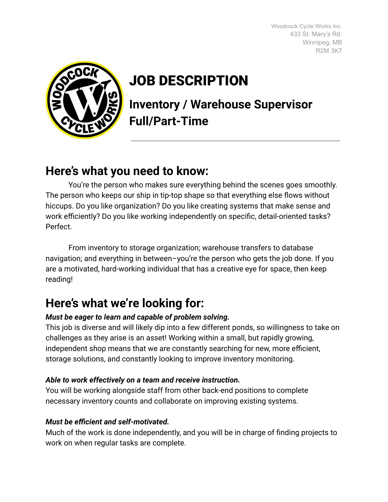Woodcock Cycle Works Inc. 433 St. Mary's Rd. Winnipeg, MB R2M 3K7



# JOB DESCRIPTION

**Inventory / Warehouse Supervisor Full/Part-Time**

## **Here's what you need to know:**

You're the person who makes sure everything behind the scenes goes smoothly. The person who keeps our ship in tip-top shape so that everything else flows without hiccups. Do you like organization? Do you like creating systems that make sense and work efficiently? Do you like working independently on specific, detail-oriented tasks? Perfect.

From inventory to storage organization; warehouse transfers to database navigation; and everything in between–you're the person who gets the job done. If you are a motivated, hard-working individual that has a creative eye for space, then keep reading!

## **Here's what we're looking for:**

#### *Must be eager to learn and capable of problem solving.*

This job is diverse and will likely dip into a few different ponds, so willingness to take on challenges as they arise is an asset! Working within a small, but rapidly growing, independent shop means that we are constantly searching for new, more efficient, storage solutions, and constantly looking to improve inventory monitoring.

#### *Able to work effectively on a team and receive instruction.*

You will be working alongside staff from other back-end positions to complete necessary inventory counts and collaborate on improving existing systems.

#### *Must be efficient and self-motivated.*

Much of the work is done independently, and you will be in charge of finding projects to work on when regular tasks are complete.